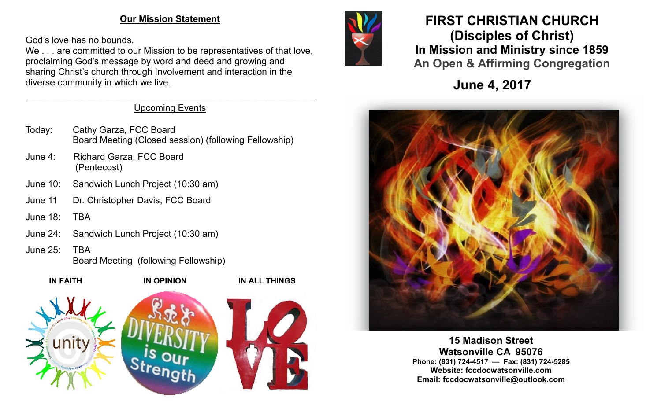### **Our Mission Statement**

God's love has no bounds.

We . . . are committed to our Mission to be representatives of that love, proclaiming God's message by word and deed and growing and sharing Christ's church through Involvement and interaction in the diverse community in which we live.

#### $\mathcal{L}_\mathcal{L} = \mathcal{L}_\mathcal{L} = \mathcal{L}_\mathcal{L} = \mathcal{L}_\mathcal{L} = \mathcal{L}_\mathcal{L} = \mathcal{L}_\mathcal{L} = \mathcal{L}_\mathcal{L} = \mathcal{L}_\mathcal{L} = \mathcal{L}_\mathcal{L} = \mathcal{L}_\mathcal{L} = \mathcal{L}_\mathcal{L} = \mathcal{L}_\mathcal{L} = \mathcal{L}_\mathcal{L} = \mathcal{L}_\mathcal{L} = \mathcal{L}_\mathcal{L} = \mathcal{L}_\mathcal{L} = \mathcal{L}_\mathcal{L}$ Upcoming Events

- Today: Cathy Garza, FCC Board Board Meeting (Closed session) (following Fellowship)
- June 4: Richard Garza, FCC Board (Pentecost)
- June 10: Sandwich Lunch Project (10:30 am)
- June 11 Dr. Christopher Davis, FCC Board
- June 18: TBA
- June 24: Sandwich Lunch Project (10:30 am)
- June 25: TBA

Board Meeting (following Fellowship)





# **FIRST CHRISTIAN CHURCH (Disciples of Christ) In Mission and Ministry since 1859 An Open & Affirming Congregation**

**June 4, 2017**



**15 Madison Street Watsonville CA 95076 Phone: (831) 724-4517 — Fax: (831) 724-5285 Website: fccdocwatsonville.com Email: fccdocwatsonville@outlook.com**